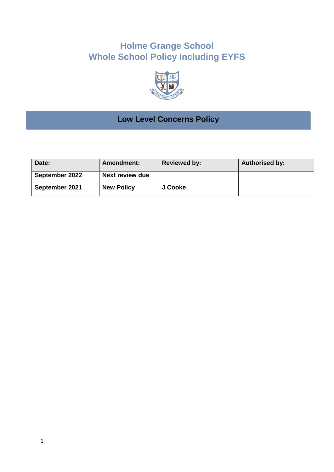# **Holme Grange School Whole School Policy Including EYFS**



# **Low Level Concerns Policy**

| Date:          | <b>Amendment:</b> | <b>Reviewed by:</b> | <b>Authorised by:</b> |
|----------------|-------------------|---------------------|-----------------------|
| September 2022 | Next review due   |                     |                       |
| September 2021 | <b>New Policy</b> | J Cooke             |                       |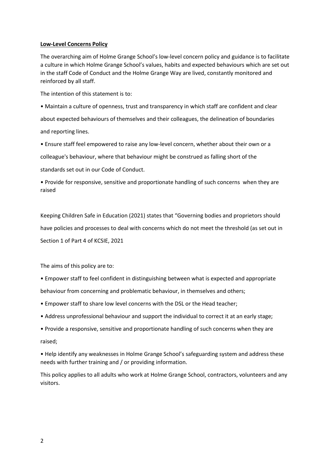#### **Low-Level Concerns Policy**

The overarching aim of Holme Grange School's low-level concern policy and guidance is to facilitate a culture in which Holme Grange School's values, habits and expected behaviours which are set out in the staff Code of Conduct and the Holme Grange Way are lived, constantly monitored and reinforced by all staff.

The intention of this statement is to:

• Maintain a culture of openness, trust and transparency in which staff are confident and clear about expected behaviours of themselves and their colleagues, the delineation of boundaries and reporting lines.

• Ensure staff feel empowered to raise any low-level concern, whether about their own or a

colleague's behaviour, where that behaviour might be construed as falling short of the

standards set out in our Code of Conduct.

• Provide for responsive, sensitive and proportionate handling of such concerns when they are raised

Keeping Children Safe in Education (2021) states that "Governing bodies and proprietors should have policies and processes to deal with concerns which do not meet the threshold (as set out in Section 1 of Part 4 of KCSIE, 2021

The aims of this policy are to:

- Empower staff to feel confident in distinguishing between what is expected and appropriate behaviour from concerning and problematic behaviour, in themselves and others;
- Empower staff to share low level concerns with the DSL or the Head teacher;
- Address unprofessional behaviour and support the individual to correct it at an early stage;
- Provide a responsive, sensitive and proportionate handling of such concerns when they are raised;

• Help identify any weaknesses in Holme Grange School's safeguarding system and address these needs with further training and / or providing information.

This policy applies to all adults who work at Holme Grange School, contractors, volunteers and any visitors.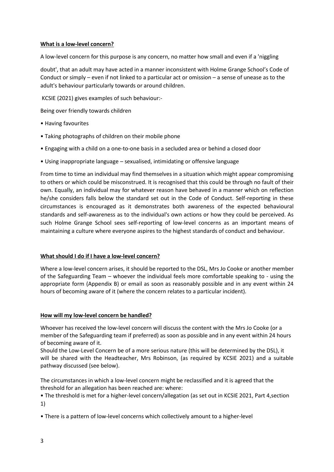## **What is a low-level concern?**

A low-level concern for this purpose is any concern, no matter how small and even if a 'niggling

doubt', that an adult may have acted in a manner inconsistent with Holme Grange School's Code of Conduct or simply – even if not linked to a particular act or omission – a sense of unease as to the adult's behaviour particularly towards or around children.

KCSIE (2021) gives examples of such behaviour:-

Being over friendly towards children

- Having favourites
- Taking photographs of children on their mobile phone
- Engaging with a child on a one-to-one basis in a secluded area or behind a closed door
- Using inappropriate language sexualised, intimidating or offensive language

From time to time an individual may find themselves in a situation which might appear compromising to others or which could be misconstrued. It is recognised that this could be through no fault of their own. Equally, an individual may for whatever reason have behaved in a manner which on reflection he/she considers falls below the standard set out in the Code of Conduct. Self-reporting in these circumstances is encouraged as it demonstrates both awareness of the expected behavioural standards and self-awareness as to the individual's own actions or how they could be perceived. As such Holme Grange School sees self-reporting of low-level concerns as an important means of maintaining a culture where everyone aspires to the highest standards of conduct and behaviour.

## **What should I do if I have a low-level concern?**

Where a low-level concern arises, it should be reported to the DSL, Mrs Jo Cooke or another member of the Safeguarding Team – whoever the individual feels more comfortable speaking to - using the appropriate form (Appendix B) or email as soon as reasonably possible and in any event within 24 hours of becoming aware of it (where the concern relates to a particular incident).

## **How will my low-level concern be handled?**

Whoever has received the low-level concern will discuss the content with the Mrs Jo Cooke (or a member of the Safeguarding team if preferred) as soon as possible and in any event within 24 hours of becoming aware of it.

Should the Low-Level Concern be of a more serious nature (this will be determined by the DSL), it will be shared with the Headteacher, Mrs Robinson, (as required by KCSIE 2021) and a suitable pathway discussed (see below).

The circumstances in which a low-level concern might be reclassified and it is agreed that the threshold for an allegation has been reached are: where:

• The threshold is met for a higher-level concern/allegation (as set out in KCSIE 2021, Part 4,section 1)

• There is a pattern of low-level concerns which collectively amount to a higher-level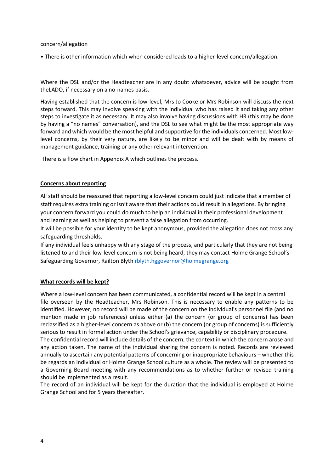#### concern/allegation

• There is other information which when considered leads to a higher-level concern/allegation.

Where the DSL and/or the Headteacher are in any doubt whatsoever, advice will be sought from theLADO, if necessary on a no-names basis.

Having established that the concern is low-level, Mrs Jo Cooke or Mrs Robinson will discuss the next steps forward. This may involve speaking with the individual who has raised it and taking any other steps to investigate it as necessary. It may also involve having discussions with HR (this may be done by having a "no names" conversation), and the DSL to see what might be the most appropriate way forward and which would be the most helpful and supportive for the individuals concerned. Most lowlevel concerns, by their very nature, are likely to be minor and will be dealt with by means of management guidance, training or any other relevant intervention.

There is a flow chart in Appendix A which outlines the process.

## **Concerns about reporting**

All staff should be reassured that reporting a low-level concern could just indicate that a member of staff requires extra training or isn't aware that their actions could result in allegations. By bringing your concern forward you could do much to help an individual in their professional development and learning as well as helping to prevent a false allegation from occurring.

It will be possible for your identity to be kept anonymous, provided the allegation does not cross any safeguarding thresholds.

If any individual feels unhappy with any stage of the process, and particularly that they are not being listened to and their low-level concern is not being heard, they may contact Holme Grange School's Safeguarding Governor, Railton Blyth [rblyth.hggovernor@holmegrange.org](mailto:rblyth.hggovernor@holmegrange.org)

## **What records will be kept?**

Where a low-level concern has been communicated, a confidential record will be kept in a central file overseen by the Headteacher, Mrs Robinson. This is necessary to enable any patterns to be identified. However, no record will be made of the concern on the individual's personnel file (and no mention made in job references) unless either (a) the concern (or group of concerns) has been reclassified as a higher-level concern as above or (b) the concern (or group of concerns) is sufficiently serious to result in formal action under the School's grievance, capability or disciplinary procedure. The confidential record will include details of the concern, the context in which the concern arose and any action taken. The name of the individual sharing the concern is noted. Records are reviewed annually to ascertain any potential patterns of concerning or inappropriate behaviours – whether this be regards an individual or Holme Grange School culture as a whole. The review will be presented to a Governing Board meeting with any recommendations as to whether further or revised training should be implemented as a result.

The record of an individual will be kept for the duration that the individual is employed at Holme Grange School and for 5 years thereafter.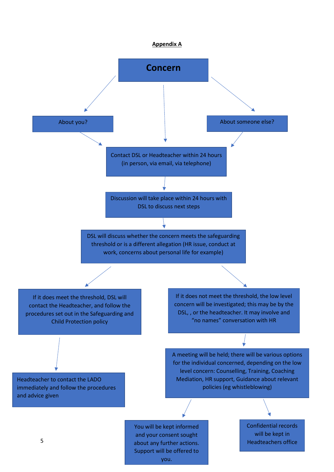#### **Appendix A**

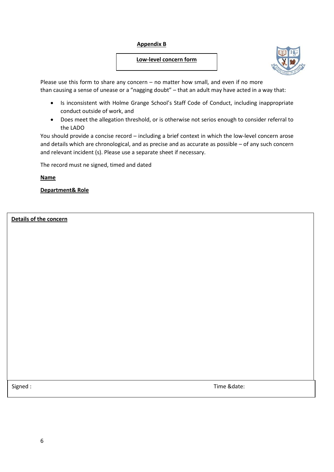## **Appendix B**

## **Low-level concern form**



Please use this form to share any concern – no matter how small, and even if no more than causing a sense of unease or a "nagging doubt" – that an adult may have acted in a way that:

- Is inconsistent with Holme Grange School's Staff Code of Conduct, including inappropriate conduct outside of work, and
- Does meet the allegation threshold, or is otherwise not serios enough to consider referral to the LADO

You should provide a concise record – including a brief context in which the low-level concern arose and details which are chronological, and as precise and as accurate as possible – of any such concern and relevant incident (s). Please use a separate sheet if necessary.

The record must ne signed, timed and dated

**Name** 

**Department& Role**

**Details of the concern**

Signed : Time &date: